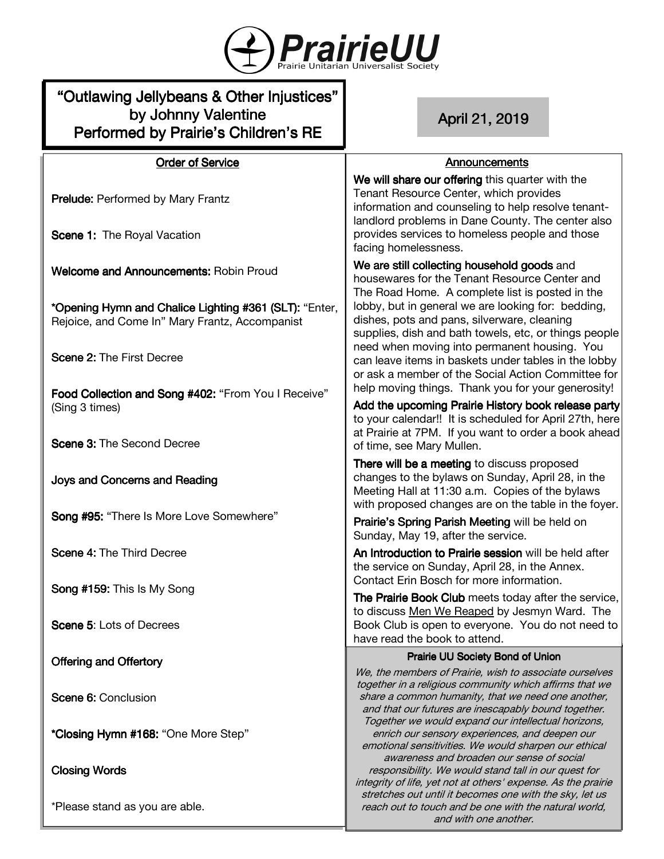

# "Outlawing Jellybeans & Other Injustices" by Johnny Valentine Performed by Prairie's Children's RE

# April21,2019

# **Announcements**

**Order of Service Prelude: Performed by Mary Frantz** Scene 1: The Royal Vacation Welcome and Announcements: Robin Proud \*Opening Hymn and Chalice Lighting #361 (SLT): "Enter, Rejoice, and Come In" Mary Frantz, Accompanist Scene 2: The First Decree Food Collection and Song #402: "From You I Receive" (Sing 3 times) Scene 3: The Second Decree Joys and Concerns and Reading Song #95: "There Is More Love Somewhere" Scene 4: The Third Decree Song #159: This Is My Song Scene 5: Lots of Decrees Offering and Offertory Scene 6: Conclusion \*Closing Hymn #168: "One More Step" **Closing Words** Prairie UU Society Bond of Union We, the members of Prairie, wish to associate ourselves together in a religious community which affirms that we share a common humanity, that we need one another, and that our futures are inescapably bound together. Together we would expand our intellectual horizons, enrich our sensory experiences, and deepen our emotional sensitivities. We would sharpen our ethical awareness and broaden our sense of social responsibility. We would stand tall in our quest for integrity of life, yet not at others' expense. As the prairie stretches out until it becomes one with the sky, let us We will share our offering this quarter with the Tenant Resource Center, which provides information and counseling to help resolve tenantlandlord problems in Dane County. The center also provides services to homeless people and those facing homelessness. We are still collecting household goods and housewares for the Tenant Resource Center and The Road Home. A complete list is posted in the lobby, but in general we are looking for: bedding, dishes, pots and pans, silverware, cleaning supplies, dish and bath towels, etc, or things people need when moving into permanent housing. You can leave items in baskets under tables in the lobby or ask a member of the Social Action Committee for help moving things. Thank you for your generosity! Add the upcoming Prairie History book release party to your calendar!! It is scheduled for April 27th, here at Prairie at 7PM. If you want to order a book ahead of time, see Mary Mullen. There will be a meeting to discuss proposed changes to the bylaws on Sunday, April 28, in the Meeting Hall at 11:30 a.m. Copies of the bylaws with proposed changes are on the table in the foyer. Prairie's Spring Parish Meeting will be held on Sunday, May 19, after the service. An Introduction to Prairie session will be held after the service on Sunday, April 28, in the Annex. Contact Erin Bosch for more information. The Prairie Book Club meets today after the service. to discuss Men We Reaped by Jesmyn Ward. The Book Club is open to everyone. You do not need to have read the book to attend.

\*Please stand as you are able.

reach out to touch and be one with the natural world, and with one another.